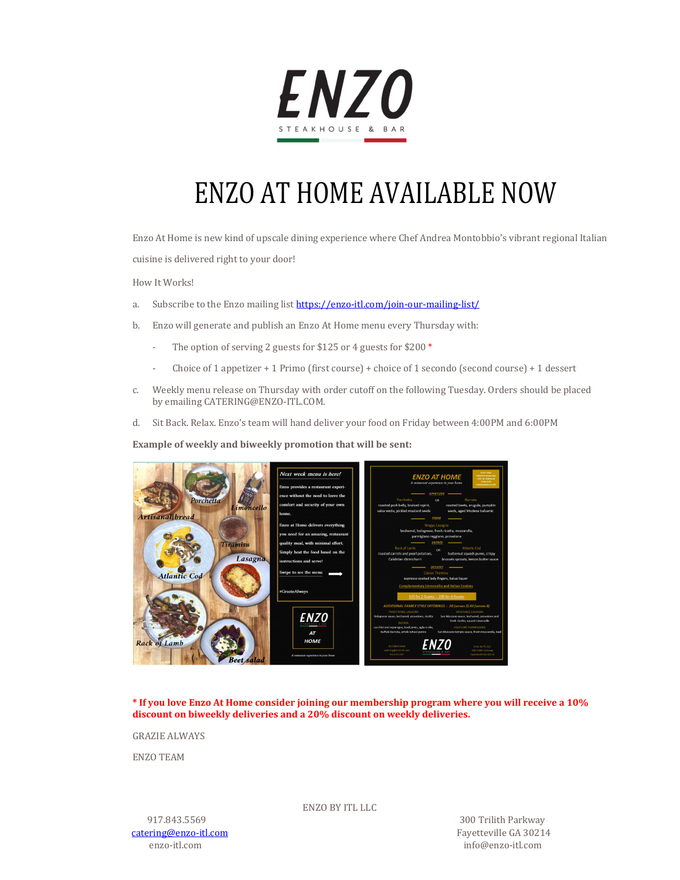

## ENZO AT HOME AVAILABLE NOW

Enzo At Home is new kind of upscale dining experience where Chef Andrea Montobbio's vibrant regional Italian

cuisine is delivered right to your door!

How It Works!

- a. Subscribe to the Enzo mailing list https://enzo-itl.com/join-our-mailing-list/
- b. Enzo will generate and publish an Enzo At Home menu every Thursday with:
	- The option of serving 2 guests for \$125 or 4 guests for \$200  $*$
	- Choice of 1 appetizer + 1 Primo (first course) + choice of 1 secondo (second course) + 1 dessert
- c. Weekly menu release on Thursday with order cutoff on the following Tuesday. Orders should be placed by emailing CATERING@ENZO-ITL.COM.
- d. Sit Back. Relax. Enzo's team will hand deliver your food on Friday between 4:00PM and 6:00PM

**Example of weekly and biweekly promotion that will be sent:**



**\* If you love Enzo At Home consider joining our membership program where you will receive a 10% discount on biweekly deliveries and a 20% discount on weekly deliveries.**

GRAZIE ALWAYS

ENZO TEAM

catering@enzo-itl.com Fayetteville GA 30214

ENZO BY ITL LLC

 917.843.5569 300 Trilith Parkway enzo-itl.com info@enzo-itl.com